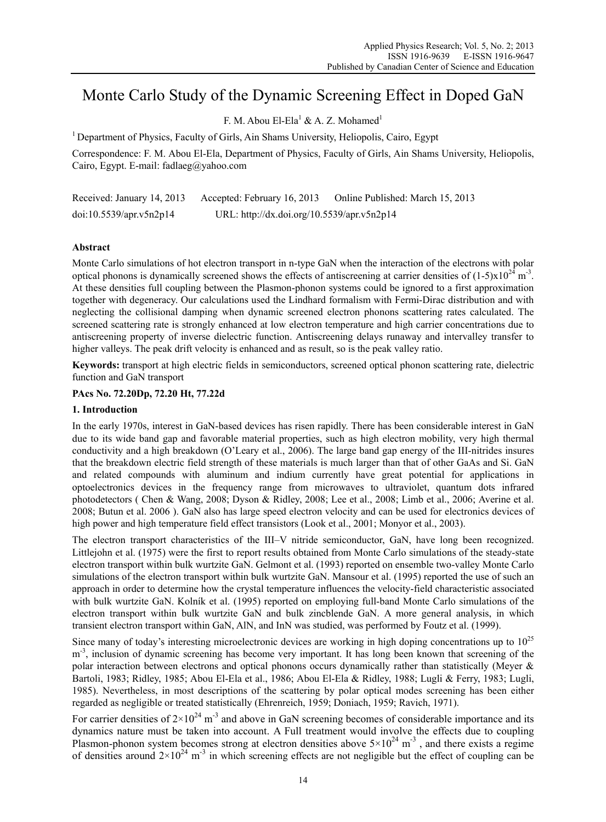# Monte Carlo Study of the Dynamic Screening Effect in Doped GaN

F. M. Abou El-Ela<sup>1</sup> & A. Z. Mohamed<sup>1</sup>

1 Department of Physics, Faculty of Girls, Ain Shams University, Heliopolis, Cairo, Egypt

Correspondence: F. M. Abou El-Ela, Department of Physics, Faculty of Girls, Ain Shams University, Heliopolis, Cairo, Egypt. E-mail: fadlaeg@yahoo.com

Received: January 14, 2013 Accepted: February 16, 2013 Online Published: March 15, 2013 doi:10.5539/apr.v5n2p14 URL: http://dx.doi.org/10.5539/apr.v5n2p14

# **Abstract**

Monte Carlo simulations of hot electron transport in n-type GaN when the interaction of the electrons with polar optical phonons is dynamically screened shows the effects of antiscreening at carrier densities of  $(1-5)x10^{24}$  m<sup>-3</sup>. At these densities full coupling between the Plasmon-phonon systems could be ignored to a first approximation together with degeneracy. Our calculations used the Lindhard formalism with Fermi-Dirac distribution and with neglecting the collisional damping when dynamic screened electron phonons scattering rates calculated. The screened scattering rate is strongly enhanced at low electron temperature and high carrier concentrations due to antiscreening property of inverse dielectric function. Antiscreening delays runaway and intervalley transfer to higher valleys. The peak drift velocity is enhanced and as result, so is the peak valley ratio.

**Keywords:** transport at high electric fields in semiconductors, screened optical phonon scattering rate, dielectric function and GaN transport

## **PAcs No. 72.20Dp, 72.20 Ht, 77.22d**

## **1. Introduction**

In the early 1970s, interest in GaN-based devices has risen rapidly. There has been considerable interest in GaN due to its wide band gap and favorable material properties, such as high electron mobility, very high thermal conductivity and a high breakdown (O'Leary et al., 2006). The large band gap energy of the III-nitrides insures that the breakdown electric field strength of these materials is much larger than that of other GaAs and Si. GaN and related compounds with aluminum and indium currently have great potential for applications in optoelectronics devices in the frequency range from microwaves to ultraviolet, quantum dots infrared photodetectors ( Chen & Wang, 2008; Dyson & Ridley, 2008; Lee et al., 2008; Limb et al., 2006; Averine et al. 2008; Butun et al. 2006 ). GaN also has large speed electron velocity and can be used for electronics devices of high power and high temperature field effect transistors (Look et al., 2001; Monyor et al., 2003).

The electron transport characteristics of the III–V nitride semiconductor, GaN, have long been recognized. Littlejohn et al. (1975) were the first to report results obtained from Monte Carlo simulations of the steady-state electron transport within bulk wurtzite GaN. Gelmont et al. (1993) reported on ensemble two-valley Monte Carlo simulations of the electron transport within bulk wurtzite GaN. Mansour et al. (1995) reported the use of such an approach in order to determine how the crystal temperature influences the velocity-field characteristic associated with bulk wurtzite GaN. Kolník et al. (1995) reported on employing full-band Monte Carlo simulations of the electron transport within bulk wurtzite GaN and bulk zincblende GaN. A more general analysis, in which transient electron transport within GaN, AlN, and InN was studied, was performed by Foutz et al. (1999).

Since many of today's interesting microelectronic devices are working in high doping concentrations up to  $10^{25}$ m<sup>-3</sup>, inclusion of dynamic screening has become very important. It has long been known that screening of the polar interaction between electrons and optical phonons occurs dynamically rather than statistically (Meyer & Bartoli, 1983; Ridley, 1985; Abou El-Ela et al., 1986; Abou El-Ela & Ridley, 1988; Lugli & Ferry, 1983; Lugli, 1985). Nevertheless, in most descriptions of the scattering by polar optical modes screening has been either regarded as negligible or treated statistically (Ehrenreich, 1959; Doniach, 1959; Ravich, 1971).

For carrier densities of  $2\times10^{24}$  m<sup>-3</sup> and above in GaN screening becomes of considerable importance and its dynamics nature must be taken into account. A Full treatment would involve the effects due to coupling Plasmon-phonon system becomes strong at electron densities above  $5 \times 10^{24}$  m<sup>-3</sup>, and there exists a regime of densities around  $2\times10^{24}$  m<sup>-3</sup> in which screening effects are not negligible but the effect of coupling can be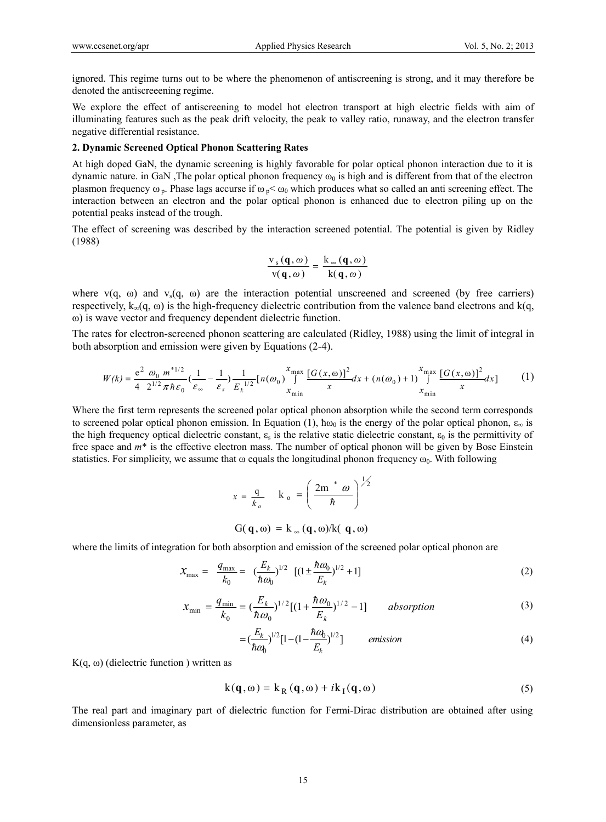ignored. This regime turns out to be where the phenomenon of antiscreening is strong, and it may therefore be denoted the antiscreeening regime.

We explore the effect of antiscreening to model hot electron transport at high electric fields with aim of illuminating features such as the peak drift velocity, the peak to valley ratio, runaway, and the electron transfer negative differential resistance.

## **2. Dynamic Screened Optical Phonon Scattering Rates**

At high doped GaN, the dynamic screening is highly favorable for polar optical phonon interaction due to it is dynamic nature. in GaN, The polar optical phonon frequency  $\omega_0$  is high and is different from that of the electron plasmon frequency  $\omega_p$ . Phase lags accurse if  $\omega_p < \omega_0$  which produces what so called an anti screening effect. The interaction between an electron and the polar optical phonon is enhanced due to electron piling up on the potential peaks instead of the trough.

The effect of screening was described by the interaction screened potential. The potential is given by Ridley (1988)

$$
\frac{v_s(q, \omega)}{v(q, \omega)} = \frac{k_{\infty}(q, \omega)}{k(q, \omega)}
$$

where  $v(q, \omega)$  and  $v_s(q, \omega)$  are the interaction potential unscreened and screened (by free carriers) respectively,  $k_{\infty}(q, \omega)$  is the high-frequency dielectric contribution from the valence band electrons and k(q, ω) is wave vector and frequency dependent dielectric function.

The rates for electron-screened phonon scattering are calculated (Ridley, 1988) using the limit of integral in both absorption and emission were given by Equations (2-4).

$$
W(k) = \frac{e^2 \omega_0 m^{*1/2}}{4 \ 2^{1/2} \pi \hbar \varepsilon_0} \left(\frac{1}{\varepsilon_\infty} - \frac{1}{\varepsilon_s}\right) \frac{1}{E_k^{1/2}} \left[n(\omega_0)\right]^{\frac{X_{\text{max}}}{\int_{X_{\text{min}}}} \frac{[G(x,\omega)]^2}{x} dx + (n(\omega_0) + 1) \int_{X_{\text{min}}}}^{X_{\text{max}}}{\frac{[G(x,\omega)]^2}{x} dx} \tag{1}
$$

Where the first term represents the screened polar optical phonon absorption while the second term corresponds to screened polar optical phonon emission. In Equation (1),  $\hbar \omega_0$  is the energy of the polar optical phonon,  $\varepsilon_{\infty}$  is the high frequency optical dielectric constant,  $\varepsilon_0$  is the relative static dielectric constant,  $\varepsilon_0$  is the permittivity of free space and *m*\* is the effective electron mass. The number of optical phonon will be given by Bose Einstein statistics. For simplicity, we assume that  $\omega$  equals the longitudinal phonon frequency  $\omega_0$ . With following

$$
x = \frac{q}{k_o} \quad k_o = \left(\frac{2m^* \omega}{\hbar}\right)^{\frac{1}{2}}
$$
  
 
$$
G(\mathbf{q}, \omega) = k_{\infty}(\mathbf{q}, \omega)/k(\mathbf{q}, \omega)
$$

where the limits of integration for both absorption and emission of the screened polar optical phonon are

$$
x_{\text{max}} = \frac{q_{\text{max}}}{k_0} = \left(\frac{E_k}{\hbar \omega_0}\right)^{1/2} \left[ (1 \pm \frac{\hbar \omega_0}{E_k})^{1/2} + 1 \right] \tag{2}
$$

$$
x_{\min} = \frac{q_{\min}}{k_0} = \left(\frac{E_k}{\hbar \omega_0}\right)^{1/2} \left[ (1 + \frac{\hbar \omega_0}{E_k})^{1/2} - 1 \right] \qquad \text{absorption} \tag{3}
$$

$$
= \left(\frac{E_k}{\hbar \omega_0}\right)^{1/2} [1 - (1 - \frac{\hbar \omega_0}{E_k})^{1/2}] \qquad \text{emission} \tag{4}
$$

K(q, ω) (dielectric function) written as

$$
k(\mathbf{q}, \omega) = k_R(\mathbf{q}, \omega) + i k_I(\mathbf{q}, \omega)
$$
 (5)

The real part and imaginary part of dielectric function for Fermi-Dirac distribution are obtained after using dimensionless parameter, as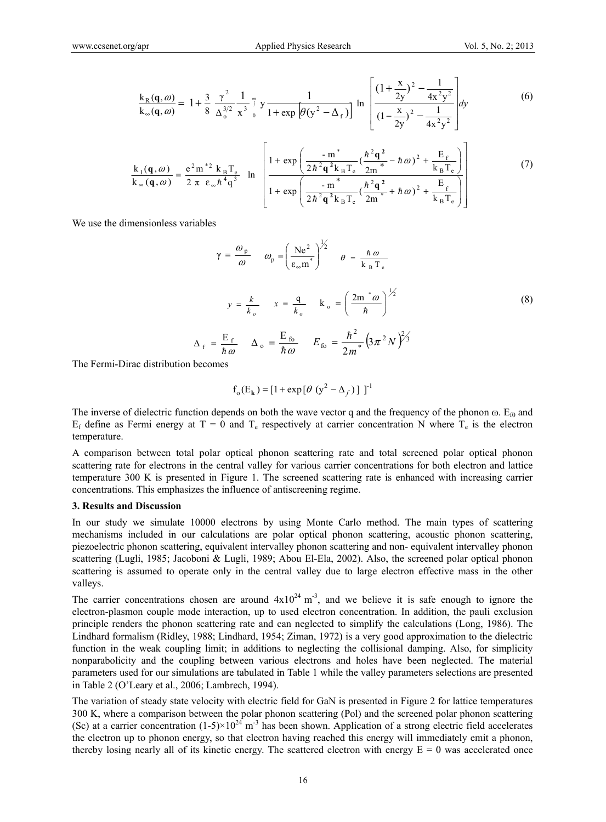$$
\frac{k_{R}(\mathbf{q},\omega)}{k_{\infty}(\mathbf{q},\omega)} = 1 + \frac{3}{8} \frac{\gamma^{2}}{\Delta_{0}^{3/2}} \frac{1}{x^{3}} \int_{0}^{\infty} y \frac{1}{1 + \exp\left[\theta(y^{2} - \Delta_{f})\right]} \ln\left[\frac{\left(1 + \frac{x}{2y}\right)^{2} - \frac{1}{4x^{2}y^{2}}}{\left(1 - \frac{x}{2y}\right)^{2} - \frac{1}{4x^{2}y^{2}}}\right] dy
$$
(6)

$$
\frac{k_1(\mathbf{q},\omega)}{k_\infty(\mathbf{q},\omega)} = \frac{e^2 m^{*2} k_B T_e}{2 \pi \epsilon_\infty \hbar^4 q^3} \quad \ln \left[ \frac{1 + \exp\left(\frac{-m^*}{2\hbar^2 \mathbf{q}^2 k_B T_e} (\frac{\hbar^2 \mathbf{q}^2}{2m^*} - \hbar \omega)^2 + \frac{E_f}{k_B T_e}\right)}{1 + \exp\left(\frac{-m^*}{2\hbar^2 \mathbf{q}^2 k_B T_e} (\frac{\hbar^2 \mathbf{q}^2}{2m^*} + \hbar \omega)^2 + \frac{E_f}{k_B T_e}\right)} \right] \tag{7}
$$

We use the dimensionless variables

$$
\gamma = \frac{\omega_{\rm p}}{\omega} \qquad \omega_{\rm p} = \left(\frac{\text{Ne}^2}{\varepsilon_{\infty} \text{m}^*}\right)^{\frac{1}{2}} \qquad \theta = \frac{\hbar \omega}{k_{\rm B} T_{\rm e}}
$$

$$
y = \frac{k}{k_o} \qquad x = \frac{q}{k_o} \qquad k_{\rm o} = \left(\frac{2 \text{m}^* \omega}{\hbar}\right)^{\frac{1}{2}}
$$

$$
\Delta_{\rm f} = \frac{E_{\rm f}}{\hbar \omega} \qquad \Delta_{\rm o} = \frac{E_{\rm fo}}{\hbar \omega} \qquad E_{\rm fo} = \frac{\hbar^2}{2m^*} \left(3\pi^2 N\right)^{\frac{2}{2}} \tag{8}
$$

*m*

The Fermi-Dirac distribution becomes

$$
f_o(E_k) = [1 + \exp[\theta (y^2 - \Delta_f)] ]^{-1}
$$

The inverse of dielectric function depends on both the wave vector q and the frequency of the phonon  $\omega$ . E<sub>0</sub> and  $E_f$  define as Fermi energy at T = 0 and T<sub>e</sub> respectively at carrier concentration N where T<sub>e</sub> is the electron temperature.

A comparison between total polar optical phonon scattering rate and total screened polar optical phonon scattering rate for electrons in the central valley for various carrier concentrations for both electron and lattice temperature 300 K is presented in Figure 1. The screened scattering rate is enhanced with increasing carrier concentrations. This emphasizes the influence of antiscreening regime.

#### **3. Results and Discussion**

In our study we simulate 10000 electrons by using Monte Carlo method. The main types of scattering mechanisms included in our calculations are polar optical phonon scattering, acoustic phonon scattering, piezoelectric phonon scattering, equivalent intervalley phonon scattering and non- equivalent intervalley phonon scattering (Lugli, 1985; Jacoboni & Lugli, 1989; Abou El-Ela, 2002). Also, the screened polar optical phonon scattering is assumed to operate only in the central valley due to large electron effective mass in the other valleys.

The carrier concentrations chosen are around  $4x10^{24}$  m<sup>-3</sup>, and we believe it is safe enough to ignore the electron-plasmon couple mode interaction, up to used electron concentration. In addition, the pauli exclusion principle renders the phonon scattering rate and can neglected to simplify the calculations (Long, 1986). The Lindhard formalism (Ridley, 1988; Lindhard, 1954; Ziman, 1972) is a very good approximation to the dielectric function in the weak coupling limit; in additions to neglecting the collisional damping. Also, for simplicity nonparabolicity and the coupling between various electrons and holes have been neglected. The material parameters used for our simulations are tabulated in Table 1 while the valley parameters selections are presented in Table 2 (O'Leary et al., 2006; Lambrech, 1994).

The variation of steady state velocity with electric field for GaN is presented in Figure 2 for lattice temperatures 300 K, where a comparison between the polar phonon scattering (Pol) and the screened polar phonon scattering (Sc) at a carrier concentration  $(1-5)\times10^{24}$  m<sup>-3</sup> has been shown. Application of a strong electric field accelerates the electron up to phonon energy, so that electron having reached this energy will immediately emit a phonon, thereby losing nearly all of its kinetic energy. The scattered electron with energy  $E = 0$  was accelerated once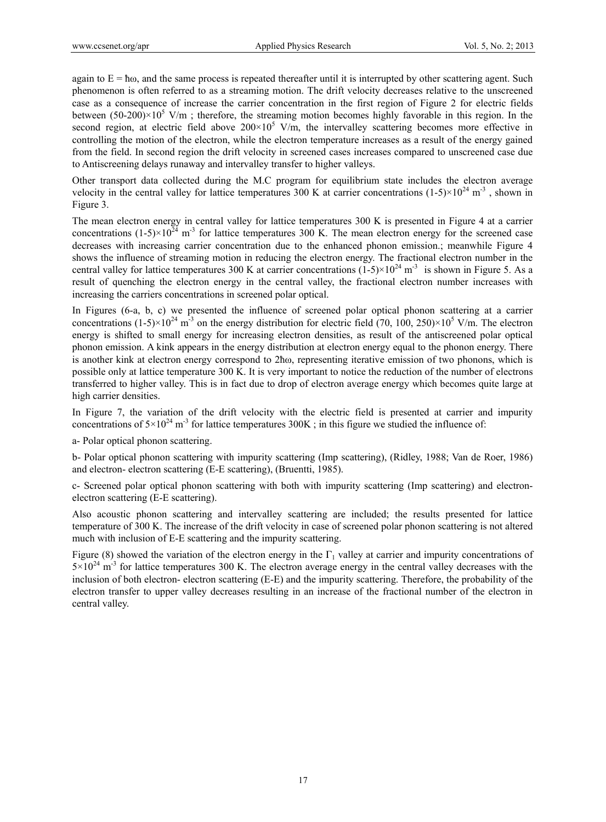again to  $E = \hbar \omega$ , and the same process is repeated thereafter until it is interrupted by other scattering agent. Such phenomenon is often referred to as a streaming motion. The drift velocity decreases relative to the unscreened case as a consequence of increase the carrier concentration in the first region of Figure 2 for electric fields between (50-200) $\times$ 10<sup>5</sup> V/m; therefore, the streaming motion becomes highly favorable in this region. In the second region, at electric field above  $200 \times 10^5$  V/m, the intervalley scattering becomes more effective in controlling the motion of the electron, while the electron temperature increases as a result of the energy gained from the field. In second region the drift velocity in screened cases increases compared to unscreened case due to Antiscreening delays runaway and intervalley transfer to higher valleys.

Other transport data collected during the M.C program for equilibrium state includes the electron average velocity in the central valley for lattice temperatures 300 K at carrier concentrations  $(1-5)\times10^{24}$  m<sup>-3</sup>, shown in Figure 3.

The mean electron energy in central valley for lattice temperatures 300 K is presented in Figure 4 at a carrier concentrations  $(1-5)\times10^{24}$  m<sup>-3</sup> for lattice temperatures 300 K. The mean electron energy for the screened case decreases with increasing carrier concentration due to the enhanced phonon emission.; meanwhile Figure 4 shows the influence of streaming motion in reducing the electron energy. The fractional electron number in the central valley for lattice temperatures 300 K at carrier concentrations  $(1-5) \times 10^{24}$  m<sup>-3</sup> is shown in Figure 5. As a result of quenching the electron energy in the central valley, the fractional electron number increases with increasing the carriers concentrations in screened polar optical.

In Figures (6-a, b, c) we presented the influence of screened polar optical phonon scattering at a carrier concentrations (1-5) $\times$ 10<sup>24</sup> m<sup>-3</sup> on the energy distribution for electric field (70, 100, 250) $\times$ 10<sup>5</sup> V/m. The electron energy is shifted to small energy for increasing electron densities, as result of the antiscreened polar optical phonon emission. A kink appears in the energy distribution at electron energy equal to the phonon energy. There is another kink at electron energy correspond to 2ħω, representing iterative emission of two phonons, which is possible only at lattice temperature 300 K. It is very important to notice the reduction of the number of electrons transferred to higher valley. This is in fact due to drop of electron average energy which becomes quite large at high carrier densities.

In Figure 7, the variation of the drift velocity with the electric field is presented at carrier and impurity concentrations of  $5\times10^{24}$  m<sup>-3</sup> for lattice temperatures 300K ; in this figure we studied the influence of:

a- Polar optical phonon scattering.

b- Polar optical phonon scattering with impurity scattering (Imp scattering), (Ridley, 1988; Van de Roer, 1986) and electron- electron scattering (E-E scattering), (Bruentti, 1985).

c- Screened polar optical phonon scattering with both with impurity scattering (Imp scattering) and electronelectron scattering (E-E scattering).

Also acoustic phonon scattering and intervalley scattering are included; the results presented for lattice temperature of 300 K. The increase of the drift velocity in case of screened polar phonon scattering is not altered much with inclusion of E-E scattering and the impurity scattering.

Figure (8) showed the variation of the electron energy in the  $\Gamma_1$  valley at carrier and impurity concentrations of  $5\times10^{24}$  m<sup>-3</sup> for lattice temperatures 300 K. The electron average energy in the central valley decreases with the inclusion of both electron- electron scattering (E-E) and the impurity scattering. Therefore, the probability of the electron transfer to upper valley decreases resulting in an increase of the fractional number of the electron in central valley.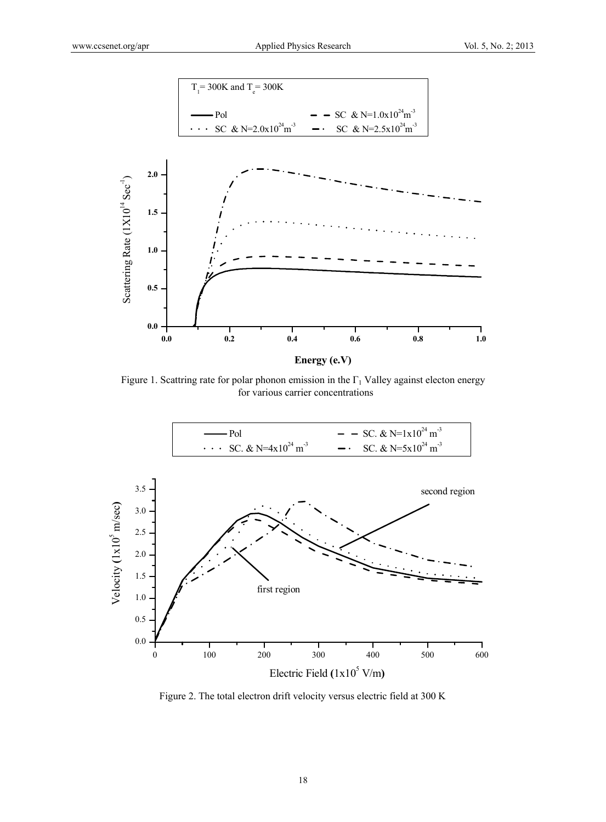

Figure 1. Scattring rate for polar phonon emission in the  $\Gamma_1$  Valley against electon energy for various carrier concentrations



Figure 2. The total electron drift velocity versus electric field at 300 K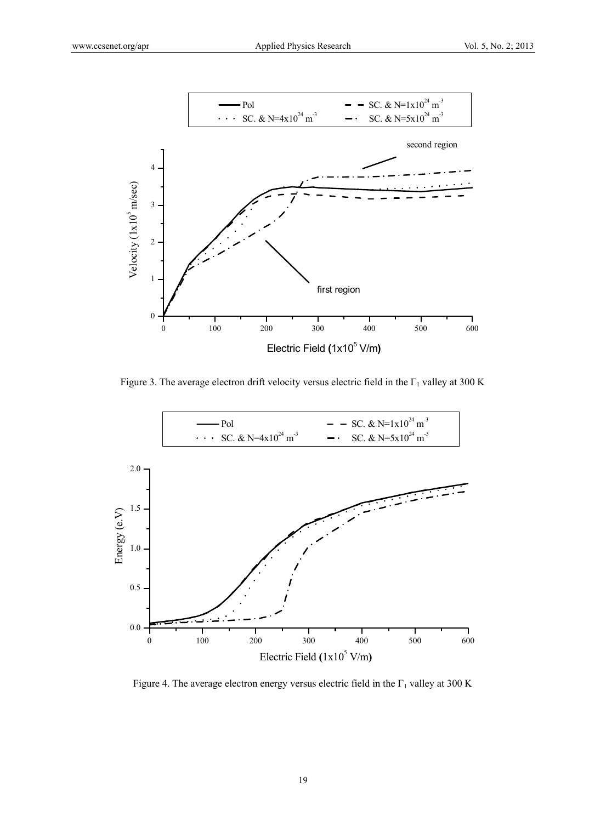

Figure 3. The average electron drift velocity versus electric field in the  $\Gamma_1$  valley at 300 K



Figure 4. The average electron energy versus electric field in the  $\Gamma_1$  valley at 300 K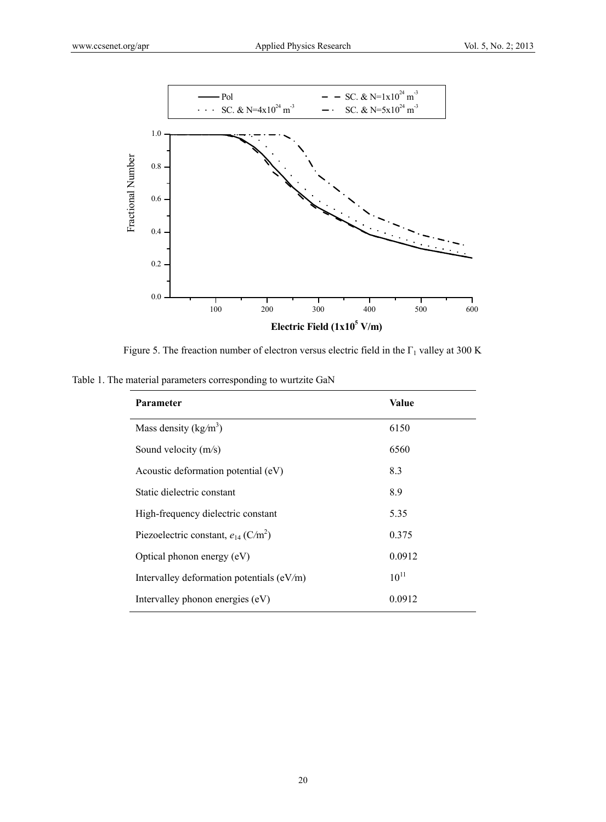

Figure 5. The freaction number of electron versus electric field in the  $\Gamma_1$  valley at 300 K

Table 1. The material parameters corresponding to wurtzite GaN

| <b>Parameter</b>                                     | Value     |
|------------------------------------------------------|-----------|
| Mass density ( $kg/m3$ )                             | 6150      |
| Sound velocity (m/s)                                 | 6560      |
| Acoustic deformation potential (eV)                  | 8.3       |
| Static dielectric constant                           | 8.9       |
| High-frequency dielectric constant                   | 5.35      |
| Piezoelectric constant, $e_{14}$ (C/m <sup>2</sup> ) | 0.375     |
| Optical phonon energy (eV)                           | 0.0912    |
| Intervalley deformation potentials $(eV/m)$          | $10^{11}$ |
| Intervalley phonon energies (eV)                     | 0.0912    |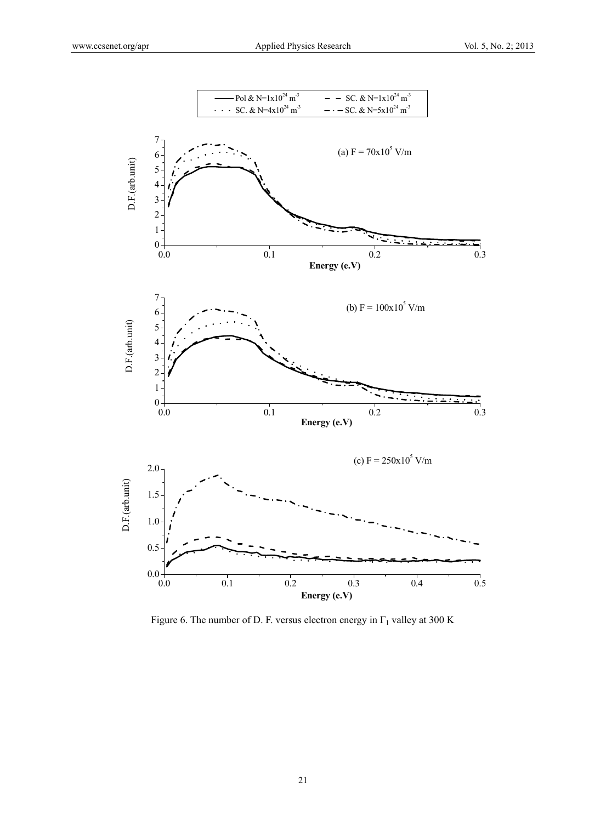

Figure 6. The number of D. F. versus electron energy in  $\Gamma_1$  valley at 300 K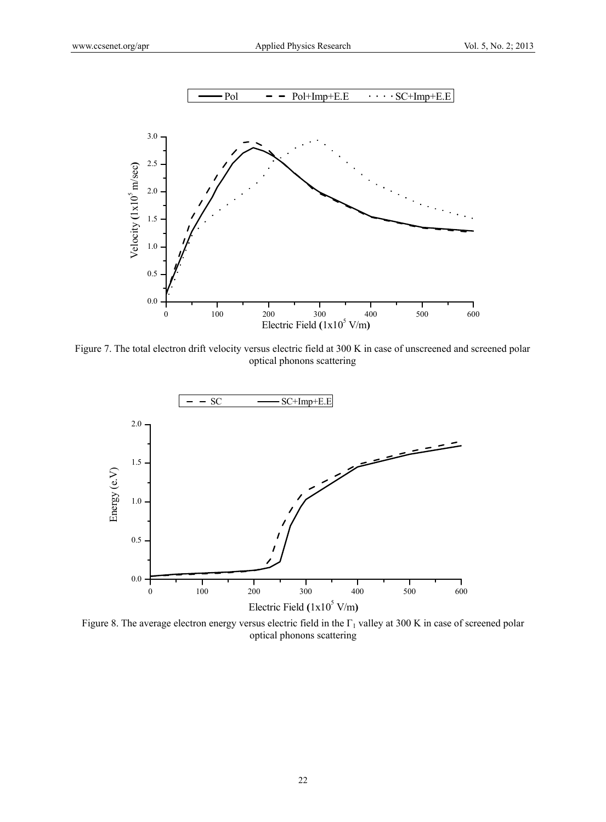

Figure 7. The total electron drift velocity versus electric field at 300 K in case of unscreened and screened polar optical phonons scattering



Figure 8. The average electron energy versus electric field in the  $\Gamma_1$  valley at 300 K in case of screened polar optical phonons scattering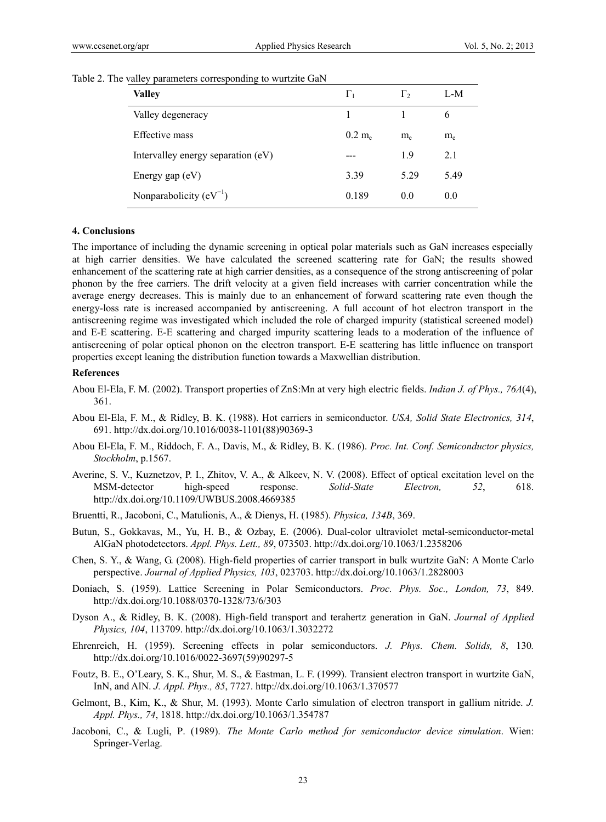| <b>Valley</b>                      | $\Gamma_1$ | Γ,             | L-M   |
|------------------------------------|------------|----------------|-------|
| Valley degeneracy                  |            |                | 6     |
| Effective mass                     | $0.2~m_e$  | $m_e$          | $m_e$ |
| Intervalley energy separation (eV) |            | 19             | 2.1   |
| Energy gap $(eV)$                  | 3.39       | 5 29           | 5.49  |
| Nonparabolicity $(eV^{-1})$        | 0.189      | 0 <sub>0</sub> | 0.0   |

|  | Table 2. The valley parameters corresponding to wurtzite GaN |  |  |  |
|--|--------------------------------------------------------------|--|--|--|
|  |                                                              |  |  |  |

### **4. Conclusions**

The importance of including the dynamic screening in optical polar materials such as GaN increases especially at high carrier densities. We have calculated the screened scattering rate for GaN; the results showed enhancement of the scattering rate at high carrier densities, as a consequence of the strong antiscreening of polar phonon by the free carriers. The drift velocity at a given field increases with carrier concentration while the average energy decreases. This is mainly due to an enhancement of forward scattering rate even though the energy-loss rate is increased accompanied by antiscreening. A full account of hot electron transport in the antiscreening regime was investigated which included the role of charged impurity (statistical screened model) and E-E scattering. E-E scattering and charged impurity scattering leads to a moderation of the influence of antiscreening of polar optical phonon on the electron transport. E-E scattering has little influence on transport properties except leaning the distribution function towards a Maxwellian distribution.

#### **References**

- Abou El-Ela, F. M. (2002). Transport properties of ZnS:Mn at very high electric fields. *Indian J. of Phys., 76A*(4), 361.
- Abou El-Ela, F. M., & Ridley, B. K. (1988). Hot carriers in semiconductor. *USA, Solid State Electronics, 314*, 691. http://dx.doi.org/10.1016/0038-1101(88)90369-3
- Abou El-Ela, F. M., Riddoch, F. A., Davis, M., & Ridley, B. K. (1986). *Proc. Int. Conf. Semiconductor physics, Stockholm*, p.1567.
- Averine, S. V., Kuznetzov, P. I., Zhitov, V. A., & Alkeev, N. V. (2008). Effect of optical excitation level on the MSM-detector high-speed response. *Solid-State Electron, 52*, 618. http://dx.doi.org/10.1109/UWBUS.2008.4669385
- Bruentti, R., Jacoboni, C., Matulionis, A., & Dienys, H. (1985). *Physica, 134B*, 369.
- Butun, S., Gokkavas, M., Yu, H. B., & Ozbay, E. (2006). Dual-color ultraviolet metal-semiconductor-metal AlGaN photodetectors. *Appl. Phys. Lett., 89*, 073503. http://dx.doi.org/10.1063/1.2358206
- Chen, S. Y., & Wang, G. (2008). High-field properties of carrier transport in bulk wurtzite GaN: A Monte Carlo perspective. *Journal of Applied Physics, 103*, 023703. http://dx.doi.org/10.1063/1.2828003
- Doniach, S. (1959). Lattice Screening in Polar Semiconductors. *Proc. Phys. Soc., London, 73*, 849. http://dx.doi.org/10.1088/0370-1328/73/6/303
- Dyson A., & Ridley, B. K. (2008). High-field transport and terahertz generation in GaN. *Journal of Applied Physics, 104*, 113709. http://dx.doi.org/10.1063/1.3032272
- Ehrenreich, H. (1959). Screening effects in polar semiconductors. *J. Phys. Chem. Solids, 8*, 130*.* http://dx.doi.org/10.1016/0022-3697(59)90297-5
- Foutz, B. E., O'Leary, S. K., Shur, M. S., & Eastman, L. F. (1999). Transient electron transport in wurtzite GaN, InN, and AlN. *J. Appl. Phys., 85*, 7727. http://dx.doi.org/10.1063/1.370577
- Gelmont, B., Kim, K., & Shur, M. (1993). Monte Carlo simulation of electron transport in gallium nitride. *J. Appl. Phys., 74*, 1818. http://dx.doi.org/10.1063/1.354787
- Jacoboni, C., & Lugli, P. (1989). *The Monte Carlo method for semiconductor device simulation*. Wien: Springer-Verlag.